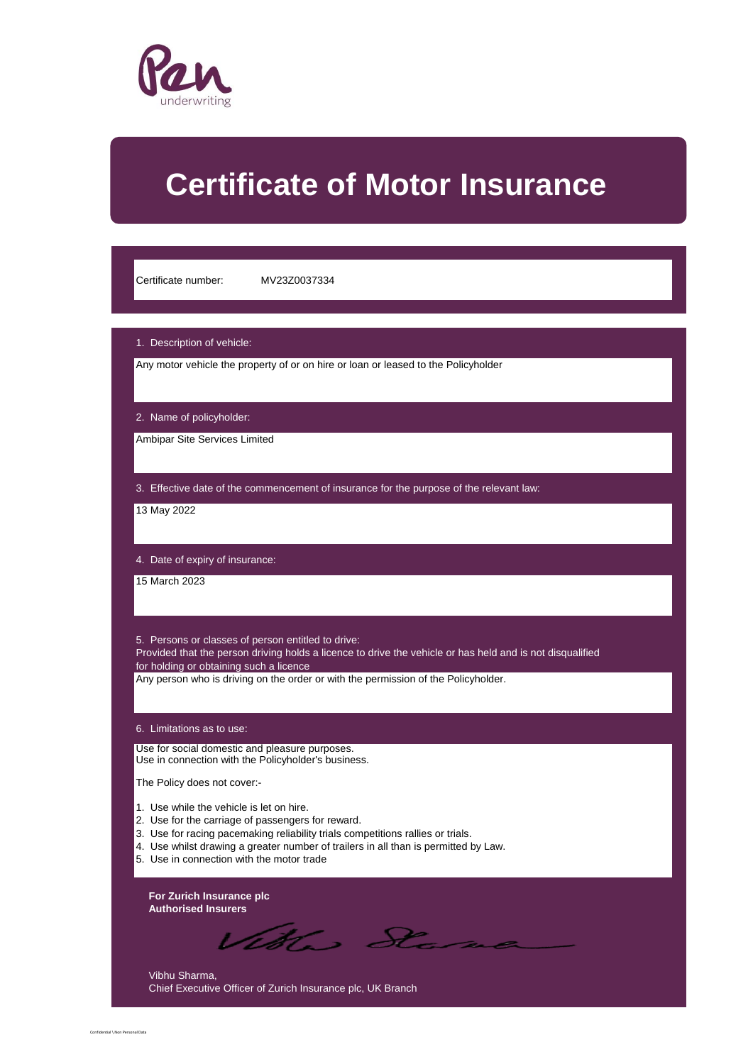

# **Certificate of Motor Insurance**

Certificate number: MV23Z0037334

#### 1. Description of vehicle:

Any motor vehicle the property of or on hire or loan or leased to the Policyholder

2. Name of policyholder:

Ambipar Site Services Limited

3. Effective date of the commencement of insurance for the purpose of the relevant law:

13 May 2022

4. Date of expiry of insurance:

15 March 2023

5. Persons or classes of person entitled to drive:

Provided that the person driving holds a licence to drive the vehicle or has held and is not disqualified for holding or obtaining such a licence

Any person who is driving on the order or with the permission of the Policyholder.

### 6. Limitations as to use:

Use for social domestic and pleasure purposes. Use in connection with the Policyholder's business.

The Policy does not cover:-

- 1. Use while the vehicle is let on hire.
- 2. Use for the carriage of passengers for reward.
- 3. Use for racing pacemaking reliability trials competitions rallies or trials.
- 4. Use whilst drawing a greater number of trailers in all than is permitted by Law.
- 5. Use in connection with the motor trade

**For Zurich Insurance plc Authorised Insurers**

Vitte. D

Vibhu Sharma, Chief Executive Officer of Zurich Insurance plc, UK Branch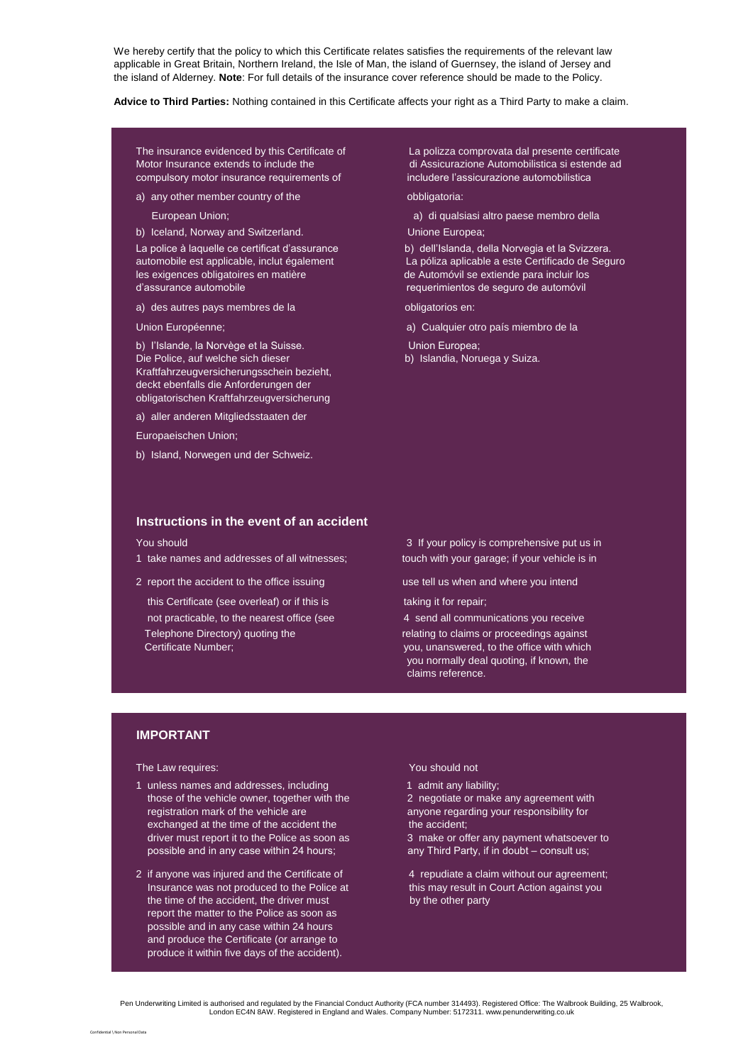We hereby certify that the policy to which this Certificate relates satisfies the requirements of the relevant law applicable in Great Britain, Northern Ireland, the Isle of Man, the island of Guernsey, the island of Jersey and the island of Alderney. **Note**: For full details of the insurance cover reference should be made to the Policy.

**Advice to Third Parties:** Nothing contained in this Certificate affects your right as a Third Party to make a claim.

The insurance evidenced by this Certificate of La polizza comprovata dal presente certificate compulsory motor insurance requirements of includere l'assicurazione automobilistica

a) any other member country of the obbligatoria:

b) Iceland, Norway and Switzerland. Unione Europea;

La police à laquelle ce certificat d'assurance b) dell'Islanda, della Norvegia et la Svizzera. les exigences obligatoires en matière de Automóvil se extiende para incluir los<br>d'assurance automóbile de automóvil se extiende para incluir los

a) des autres pays membres de la **obligatorios en:** 

b) l'Islande, la Norvège et la Suisse. **En la Suisse de la Suisse de la Suisse de la Suisse de la Suisse de la Suisse de la Suisse de la Suisse de la Suisse de la Suisse de la Villaire de la Suisse de la Villaire de la Su** Die Police, auf welche sich dieser b) Islandia, Noruega y Suiza. Kraftfahrzeugversicherungsschein bezieht, deckt ebenfalls die Anforderungen der obligatorischen Kraftfahrzeugversicherung

a) aller anderen Mitgliedsstaaten der

Europaeischen Union;

b) Island, Norwegen und der Schweiz.

# **Instructions in the event of an accident**

- 
- 2 report the accident to the office issuing use tell us when and where you intend

this Certificate (see overleaf) or if this is taking it for repair; not practicable, to the nearest office (see 4 send all communications you receive Telephone Directory) quoting the relating to claims or proceedings against

Motor Insurance extends to include the di Assicurazione Automobilistica si estende ad

European Union; a) di qualsiasi altro paese membro della

La póliza aplicable a este Certificado de Seguro requerimientos de seguro de automóvil

Union Européenne; a) Cualquier otro país miembro de la

You should 3 If your policy is comprehensive put us in 1 take names and addresses of all witnesses; the with your garage; if your vehicle is in

 Certificate Number; you, unanswered, to the office with which you normally deal quoting, if known, the claims reference.

## **IMPORTANT**

The Law requires: The Law requires: The Law requires: The Law requires: The Law requires: The Law requires: The Law requires: The Law requires: The Law requires: The Law requires: The Law requires: The Law requires: The La

.<br>Ifidential \ Non Personal Dat

- 1 unless names and addresses, including 1 admit any liability; those of the vehicle owner, together with the 2 negotiate or make any agreement with registration mark of the vehicle are anyone regarding your responsibility for exchanged at the time of the accident the the the accident; driver must report it to the Police as soon as 3 make or offer any payment whatsoever to possible and in any case within 24 hours; any Third Party, if in doubt – consult us;
- 2 if anyone was injured and the Certificate of 4 repudiate a claim without our agreement; Insurance was not produced to the Police at this may result in Court Action against you the time of the accident, the driver must by the other party report the matter to the Police as soon as possible and in any case within 24 hours and produce the Certificate (or arrange to produce it within five days of the accident).

Pen Underwriting Limited is authorised and regulated by the Financial Conduct Authority (FCA number 314493). Registered Office: The Walbrook Building, 25 Walbrook, London EC4N 8AW. Registered in England and Wales. Company Number: 5172311. www.penunderwriting.co.uk